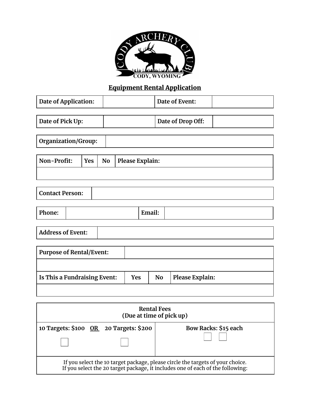

# Equipment Rental Application

| Date of Application:       |            |           | Date of Event:    |  |
|----------------------------|------------|-----------|-------------------|--|
|                            |            |           |                   |  |
| Date of Pick Up:           |            |           | Date of Drop Off: |  |
| <b>Organization/Group:</b> |            |           |                   |  |
|                            |            |           |                   |  |
| Non-Profit:                | <b>Yes</b> | <b>No</b> | Please Explain:   |  |
|                            |            |           |                   |  |

| <b>Contact Person:</b> |  |
|------------------------|--|
|                        |  |

| Phone: | $^{\bullet}$<br><b>Expression</b><br>Lillail. |  |
|--------|-----------------------------------------------|--|
|        |                                               |  |

| <b>Address of Event:</b> |  |
|--------------------------|--|
|--------------------------|--|

| <b>Purpose of Rental/Event:</b> |            |           |                 |
|---------------------------------|------------|-----------|-----------------|
|                                 |            |           |                 |
| Is This a Fundraising Event:    | <b>Yes</b> | <b>No</b> | Please Explain: |
|                                 |            |           |                 |

| <b>Rental Fees</b><br>(Due at time of pick up)                                                                                                                   |  |                      |
|------------------------------------------------------------------------------------------------------------------------------------------------------------------|--|----------------------|
| 10 Targets: \$100 OR 20 Targets: \$200                                                                                                                           |  | Bow Racks: \$15 each |
| If you select the 10 target package, please circle the targets of your choice.<br>If you select the 20 target package, it includes one of each of the following: |  |                      |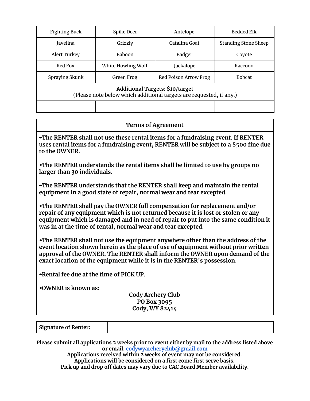| <b>Fighting Buck</b>                                                                                   | Spike Deer         | Antelope              | Bedded Elk                  |  |
|--------------------------------------------------------------------------------------------------------|--------------------|-----------------------|-----------------------------|--|
| Javelina                                                                                               | Grizzly            | Catalina Goat         | <b>Standing Stone Sheep</b> |  |
| <b>Alert Turkey</b>                                                                                    | <b>Baboon</b>      | Badger                | Covote                      |  |
| Red Fox                                                                                                | White Howling Wolf | Jackalope             | Raccoon                     |  |
| Spraying Skunk                                                                                         | Green Frog         | Red Poison Arrow Frog | <b>Bobcat</b>               |  |
| Additional Targets: \$10/target<br>(Please note below which additional targets are requested, if any.) |                    |                       |                             |  |
|                                                                                                        |                    |                       |                             |  |

#### **Terms of Agreement**

↠**The RENTER shall not use these rental items for a fundraising event. If RENTER uses rental items for a fundraising event, RENTER will be subject to a \$500 fine due to the OWNER.**

↠**The RENTER understands the rental items shall be limited to use by groups no larger than 30 individuals.**

↠**The RENTER understands that the RENTER shall keep and maintain the rental equipment in a good state of repair, normal wear and tear excepted.**

↠**The RENTER shall pay the OWNER full compensation for replacement and/or repair of any equipment which is not returned because it is lost or stolen or any equipment which is damaged and in need of repair to put into the same condition it was in at the time of rental, normal wear and tear excepted.**

↠**The RENTER shall not use the equipment anywhere other than the address of the event location shown herein as the place of use of equipment without prior written approval of the OWNER. The RENTER shall inform the OWNER upon demand of the exact location of the equipment while it is in the RENTER's possession.**

↠**Rental fee due at the time of PICK UP.**

↠**OWNER is known as:**

#### **Cody Archery Club PO Box 3095 Cody, WY 82414**

| <b>Signature of Renter:</b> |
|-----------------------------|
|-----------------------------|

**Please submit all applications 2 weeks prior to event either by mail to the address listed above or email: [codywyarcheryclub@gmail.com](mailto:codywyarcheryclub@gmail.com)**

**Applications received within 2 weeks of event may not be considered. Applications will be considered on a first come first serve basis. Pick up and drop off dates may vary due to CAC Board Member availability.**